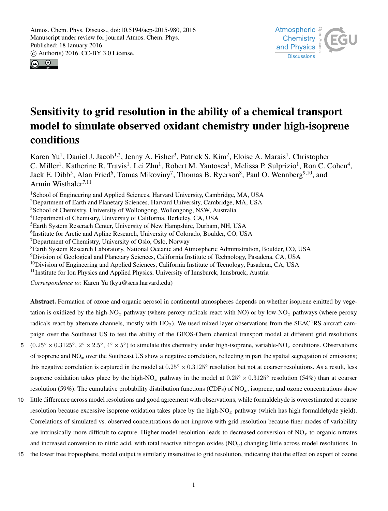Atmospheric  $\frac{1}{2}$ **Chemistry** and Physics **Discussions** 



# Sensitivity to grid resolution in the ability of a chemical transport model to simulate observed oxidant chemistry under high-isoprene conditions

Karen Yu<sup>1</sup>, Daniel J. Jacob<sup>1,2</sup>, Jenny A. Fisher<sup>3</sup>, Patrick S. Kim<sup>2</sup>, Eloise A. Marais<sup>1</sup>, Christopher C. Miller<sup>1</sup>, Katherine R. Travis<sup>1</sup>, Lei Zhu<sup>1</sup>, Robert M. Yantosca<sup>1</sup>, Melissa P. Sulprizio<sup>1</sup>, Ron C. Cohen<sup>4</sup>, Jack E. Dibb<sup>5</sup>, Alan Fried<sup>6</sup>, Tomas Mikoviny<sup>7</sup>, Thomas B. Ryerson<sup>8</sup>, Paul O. Wennberg<sup>9,10</sup>, and Armin Wisthaler<sup>7,11</sup>

<sup>1</sup>School of Engineering and Applied Sciences, Harvard University, Cambridge, MA, USA

<sup>2</sup>Department of Earth and Planetary Sciences, Harvard University, Cambridge, MA, USA

<sup>3</sup>School of Chemistry, University of Wollongong, Wollongong, NSW, Australia

<sup>4</sup>Department of Chemistry, University of California, Berkeley, CA, USA

<sup>5</sup>Earth System Reserach Center, University of New Hampshire, Durham, NH, USA

6 Institute for Arctic and Apline Research, University of Colorado, Boulder, CO, USA

<sup>7</sup>Department of Chemistry, University of Oslo, Oslo, Norway

<sup>8</sup>Earth System Research Laboratory, National Oceanic and Atmospheric Administration, Boulder, CO, USA

<sup>9</sup>Division of Geological and Planetary Sciences, California Institute of Technology, Pasadena, CA, USA

 $10$ Division of Engineering and Applied Sciences, California Institute of Tecnology, Pasadena, CA, USA

<sup>11</sup>Institute for Ion Physics and Applied Physics, University of Innsburck, Innsbruck, Austria

*Correspondence to:* Karen Yu (kyu@seas.harvard.edu)

Abstract. Formation of ozone and organic aerosol in continental atmospheres depends on whether isoprene emitted by vegetation is oxidized by the high-NO<sub>x</sub> pathway (where peroxy radicals react with NO) or by low-NO<sub>x</sub> pathways (where peroxy radicals react by alternate channels, mostly with  $HO_2$ ). We used mixed layer observations from the SEAC $4RS$  aircraft campaign over the Southeast US to test the ability of the GEOS-Chem chemical transport model at different grid resolutions

- 5  $(0.25° \times 0.3125°, 2° \times 2.5°, 4° \times 5°)$  to simulate this chemistry under high-isoprene, variable-NO<sub>x</sub> conditions. Observations of isoprene and  $NO<sub>x</sub>$  over the Southeast US show a negative correlation, reflecting in part the spatial segregation of emissions; this negative correlation is captured in the model at  $0.25^\circ \times 0.3125^\circ$  resolution but not at coarser resolutions. As a result, less isoprene oxidation takes place by the high-NO<sub>x</sub> pathway in the model at  $0.25° \times 0.3125°$  resolution (54%) than at coarser resolution (59%). The cumulative probability distribution functions (CDFs) of  $NQ_x$ , isoprene, and ozone concentrations show
- 10 little difference across model resolutions and good agreement with observations, while formaldehyde is overestimated at coarse resolution because excessive isoprene oxidation takes place by the high-NO<sub>x</sub> pathway (which has high formaldehyde yield). Correlations of simulated vs. observed concentrations do not improve with grid resolution because finer modes of variability are intrinsically more difficult to capture. Higher model resolution leads to decreased conversion of  $NO<sub>x</sub>$  to organic nitrates and increased conversion to nitric acid, with total reactive nitrogen oxides  $(NO<sub>y</sub>)$  changing little across model resolutions. In
- 15 the lower free troposphere, model output is similarly insensitive to grid resolution, indicating that the effect on export of ozone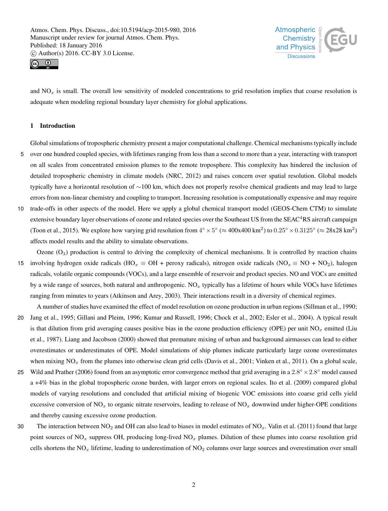



and  $NO<sub>x</sub>$  is small. The overall low sensitivity of modeled concentrations to grid resolution implies that coarse resolution is adequate when modeling regional boundary layer chemistry for global applications.

## 1 Introduction

- Global simulations of tropospheric chemistry present a major computational challenge. Chemical mechanisms typically include 5 over one hundred coupled species, with lifetimes ranging from less than a second to more than a year, interacting with transport on all scales from concentrated emission plumes to the remote troposphere. This complexity has hindered the inclusion of detailed tropospheric chemistry in climate models (NRC, 2012) and raises concern over spatial resolution. Global models typically have a horizontal resolution of ∼100 km, which does not properly resolve chemical gradients and may lead to large errors from non-linear chemistry and coupling to transport. Increasing resolution is computationally expensive and may require
- 10 trade-offs in other aspects of the model. Here we apply a global chemical transport model (GEOS-Chem CTM) to simulate extensive boundary layer observations of ozone and related species over the Southeast US from the SEAC<sup>4</sup>RS aircraft campaign (Toon et al., 2015). We explore how varying grid resolution from  $4^\circ \times 5^\circ$  ( $\approx 400x400$  km<sup>2</sup>) to  $0.25^\circ \times 0.3125^\circ$  ( $\approx 28x28$  km<sup>2</sup>) affects model results and the ability to simulate observations.

Ozone  $(O_3)$  production is central to driving the complexity of chemical mechanisms. It is controlled by reaction chains 15 involving hydrogen oxide radicals (HO<sub>x</sub> ≡ OH + peroxy radicals), nitrogen oxide radicals (NO<sub>x</sub> ≡ NO + NO<sub>2</sub>), halogen radicals, volatile organic compounds (VOCs), and a large ensemble of reservoir and product species. NO and VOCs are emitted by a wide range of sources, both natural and anthropogenic.  $NO<sub>x</sub>$  typically has a lifetime of hours while VOCs have lifetimes ranging from minutes to years (Atkinson and Arey, 2003). Their interactions result in a diversity of chemical regimes.

- A number of studies have examined the effect of model resolution on ozone production in urban regions (Sillman et al., 1990; 20 Jang et al., 1995; Gillani and Pleim, 1996; Kumar and Russell, 1996; Chock et al., 2002; Esler et al., 2004). A typical result is that dilution from grid averaging causes positive bias in the ozone production efficiency (OPE) per unit  $NO<sub>x</sub>$  emitted (Liu et al., 1987). Liang and Jacobson (2000) showed that premature mixing of urban and background airmasses can lead to either overestimates or underestimates of OPE. Model simulations of ship plumes indicate particularly large ozone overestimates when mixing  $NO<sub>x</sub>$  from the plumes into otherwise clean grid cells (Davis et al., 2001; Vinken et al., 2011). On a global scale,
- 25 Wild and Prather (2006) found from an asymptotic error convergence method that grid averaging in a  $2.8^\circ \times 2.8^\circ$  model caused a +4% bias in the global tropospheric ozone burden, with larger errors on regional scales. Ito et al. (2009) compared global models of varying resolutions and concluded that artificial mixing of biogenic VOC emissions into coarse grid cells yield excessive conversion of NO<sub>x</sub> to organic nitrate reservoirs, leading to release of NO<sub>x</sub> downwind under higher-OPE conditions and thereby causing excessive ozone production.
- 30 The interaction between  $NO<sub>2</sub>$  and OH can also lead to biases in model estimates of  $NO<sub>x</sub>$ . Valin et al. (2011) found that large point sources of  $NO<sub>x</sub>$  suppress OH, producing long-lived  $NO<sub>x</sub>$  plumes. Dilution of these plumes into coarse resolution grid cells shortens the  $NO_x$  lifetime, leading to underestimation of  $NO_2$  columns over large sources and overestimation over small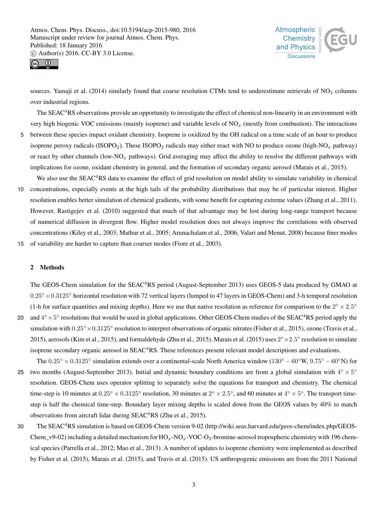



sources. Yamaji et al. (2014) similarly found that coarse resolution CTMs tend to underestimate retrievals of  $NO<sub>2</sub>$  columns over industrial regions.

The SEAC<sup>4</sup>RS observations provide an opportunity to investigate the effect of chemical non-linearity in an environment with very high biogenic VOC emissions (mainly isoprene) and variable levels of  $NO<sub>x</sub>$  (mostly from combustion). The interactions 5 between these species impact oxidant chemistry. Isoprene is oxidized by the OH radical on a time scale of an hour to produce isoprene peroxy radicals (ISOPO<sub>2</sub>). These ISOPO<sub>2</sub> radicals may either react with NO to produce ozone (high-NO<sub>x</sub> pathway)

or react by other channels (low-NO<sub>x</sub> pathways). Grid averaging may affect the ability to resolve the different pathways with implications for ozone, oxidant chemistry in general, and the formation of secondary organic aerosol (Marais et al., 2015).

We also use the  $SEAC<sup>4</sup>RS$  data to examine the effect of grid resolution on model ability to simulate variability in chemical 10 concentrations, especially events at the high tails of the probability distributions that may be of particular interest. Higher resolution enables better simulation of chemical gradients, with some benefit for capturing extreme values (Zhang et al., 2011). However, Rastigejev et al. (2010) suggested that much of that advantage may be lost during long-range transport because of numerical diffusion in divergent flow. Higher model resolution does not always improve the correlations with observed concentrations (Kiley et al., 2003; Mathur et al., 2005; Arunachalam et al., 2006; Valari and Menut, 2008) because finer modes

15 of variability are harder to capture than coarser modes (Fiore et al., 2003).

# 2 Methods

The GEOS-Chem simulation for the SEAC<sup>4</sup>RS period (August-September 2013) uses GEOS-5 data produced by GMAO at 0.25◦×0.3125◦ horizontal resolution with 72 vertical layers (lumped to 47 layers in GEOS-Chem) and 3-h temporal resolution (1-h for surface quantities and mixing depths). Here we use that native resolution as reference for comparison to the  $2^{\circ} \times 2.5^{\circ}$ 20 and  $4^{\circ} \times 5^{\circ}$  resolutions that would be used in global applications. Other GEOS-Chem studies of the SEAC<sup>4</sup>RS period apply the

- simulation with  $0.25^{\circ} \times 0.3125^{\circ}$  resolution to interpret observations of organic nitrates (Fisher et al., 2015), ozone (Travis et al., 2015), aerosols (Kim et al., 2015), and formaldehyde (Zhu et al., 2015). Marais et al. (2015) uses  $2^{\circ} \times 2.5^{\circ}$  resolution to simulate isoprene secondary organic aerosol in SEAC<sup>4</sup>RS. These references present relevant model descriptions and evaluations.
- The  $0.25° \times 0.3125°$  simulation extends over a continental-scale North America window  $(130° 60°W, 9.75° 60°N)$  for two months (August-September 2013). Initial and dynamic boundary conditions are from a global simulation with  $4^{\circ} \times 5^{\circ}$ 25 resolution. GEOS-Chem uses operator splitting to separately solve the equations for transport and chemistry. The chemical time-step is 10 minutes at  $0.25^\circ \times 0.3125^\circ$  resolution, 30 minutes at  $2^\circ \times 2.5^\circ$ , and 60 minutes at  $4^\circ \times 5^\circ$ . The transport timestep is half the chemical time-step. Boundary layer mixing depths is scaled down from the GEOS values by 40% to match observations from aircraft lidar during  $SEAC<sup>4</sup>RS$  (Zhu et al., 2015).
- 30 The SEAC<sup>4</sup>RS simulation is based on GEOS-Chem version 9-02 (http://wiki.seas.harvard.edu/geos-chem/index.php/GEOS-Chem\_v9-02) including a detailed mechanism for  $HO_x$ -NO $C$ -O<sub>3</sub>-bromine-aerosol tropospheric chemistry with 196 chemical species (Parrella et al., 2012; Mao et al., 2013). A number of updates to isoprene chemistry were implemented as described by Fisher et al. (2015), Marais et al. (2015), and Travis et al. (2015). US anthropogenic emissions are from the 2011 National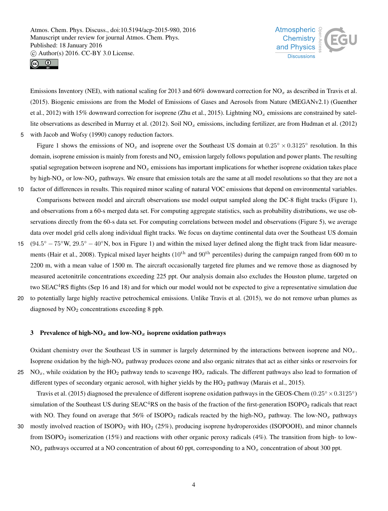



Emissions Inventory (NEI), with national scaling for 2013 and 60% downward correction for  $NO<sub>x</sub>$  as described in Travis et al. (2015). Biogenic emissions are from the Model of Emissions of Gases and Aerosols from Nature (MEGANv2.1) (Guenther et al., 2012) with 15% downward correction for isoprene (Zhu et al., 2015). Lightning NO<sub>x</sub> emissions are constrained by satellite observations as described in Murray et al. (2012). Soil  $NO<sub>x</sub>$  emissions, including fertilizer, are from Hudman et al. (2012) 5 with Jacob and Wofsy (1990) canopy reduction factors.

Figure 1 shows the emissions of  $NO_x$  and isoprene over the Southeast US domain at  $0.25° \times 0.3125°$  resolution. In this domain, isoprene emission is mainly from forests and  $NO<sub>x</sub>$  emission largely follows population and power plants. The resulting spatial segregation between isoprene and  $NO<sub>x</sub>$  emissions has important implications for whether isoprene oxidation takes place by high-NO<sub>x</sub> or low-NO<sub>x</sub> pathways. We ensure that emission totals are the same at all model resolutions so that they are not a 10 factor of differences in results. This required minor scaling of natural VOC emissions that depend on environmental variables.

Comparisons between model and aircraft observations use model output sampled along the DC-8 flight tracks (Figure 1), and observations from a 60-s merged data set. For computing aggregate statistics, such as probability distributions, we use observations directly from the 60-s data set. For computing correlations between model and observations (Figure 5), we average data over model grid cells along individual flight tracks. We focus on daytime continental data over the Southeast US domain

- $15 \left(94.5^{\circ} 75^{\circ} \text{W}, 29.5^{\circ} 40^{\circ} \text{N}\right)$ , box in Figure 1) and within the mixed layer defined along the flight track from lidar measurements (Hair et al., 2008). Typical mixed layer heights (10<sup>th</sup> and 90<sup>th</sup> percentiles) during the campaign ranged from 600 m to 2200 m, with a mean value of 1500 m. The aircraft occasionally targeted fire plumes and we remove those as diagnosed by measured acetonitrile concentrations exceeding 225 ppt. Our analysis domain also excludes the Houston plume, targeted on two SEAC<sup>4</sup>RS flights (Sep 16 and 18) and for which our model would not be expected to give a representative simulation due
- 20 to potentially large highly reactive petrochemical emissions. Unlike Travis et al. (2015), we do not remove urban plumes as diagnosed by  $NO<sub>2</sub>$  concentrations exceeding 8 ppb.

#### 3 Prevalence of high- $NO_x$  and low- $NO_x$  isoprene oxidation pathways

Oxidant chemistry over the Southeast US in summer is largely determined by the interactions between isoprene and  $NO<sub>x</sub>$ . Isoprene oxidation by the high- $NO<sub>x</sub>$  pathway produces ozone and also organic nitrates that act as either sinks or reservoirs for 25 NO<sub>x</sub>, while oxidation by the HO<sub>2</sub> pathway tends to scavenge HO<sub>x</sub> radicals. The different pathways also lead to formation of different types of secondary organic aerosol, with higher yields by the  $HO<sub>2</sub>$  pathway (Marais et al., 2015).

Travis et al. (2015) diagnosed the prevalence of different isoprene oxidation pathways in the GEOS-Chem ( $0.25° \times 0.3125°$ ) simulation of the Southeast US during  $SEAC<sup>4</sup>RS$  on the basis of the fraction of the first-generation  $ISOPO<sub>2</sub>$  radicals that react with NO. They found on average that 56% of ISOPO<sub>2</sub> radicals reacted by the high-NO<sub>x</sub> pathway. The low-NO<sub>x</sub> pathways

30 mostly involved reaction of ISOPO<sup>2</sup> with HO<sup>2</sup> (25%), producing isoprene hydroperoxides (ISOPOOH), and minor channels from ISOPO<sub>2</sub> isomerization (15%) and reactions with other organic peroxy radicals (4%). The transition from high- to low- $NO<sub>x</sub>$  pathways occurred at a NO concentration of about 60 ppt, corresponding to a NO<sub>x</sub> concentration of about 300 ppt.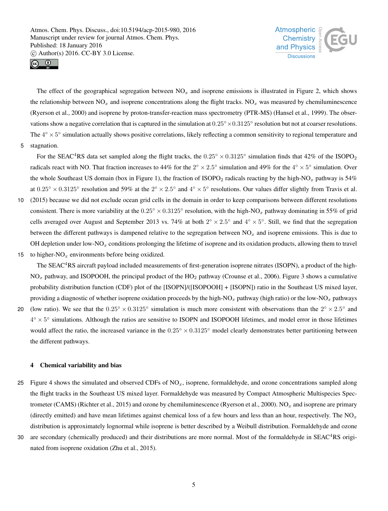



The effect of the geographical segregation between  $NO<sub>x</sub>$  and isoprene emissions is illustrated in Figure 2, which shows the relationship between  $NO_x$  and isoprene concentrations along the flight tracks.  $NO_x$  was measured by chemiluminescence (Ryerson et al., 2000) and isoprene by proton-transfer-reaction mass spectrometry (PTR-MS) (Hansel et al., 1999). The observations show a negative correlation that is captured in the simulation at  $0.25^{\circ} \times 0.3125^{\circ}$  resolution but not at coarser resolutions. The  $4^{\circ} \times 5^{\circ}$  simulation actually shows positive correlations, likely reflecting a common sensitivity to regional temperature and

5 stagnation.

For the SEAC<sup>4</sup>RS data set sampled along the flight tracks, the  $0.25° \times 0.3125°$  simulation finds that 42% of the ISOPO<sub>2</sub> radicals react with NO. That fraction increases to 44% for the  $2^{\circ} \times 2.5^{\circ}$  simulation and 49% for the  $4^{\circ} \times 5^{\circ}$  simulation. Over the whole Southeast US domain (box in Figure 1), the fraction of ISOPO<sub>2</sub> radicals reacting by the high-NO<sub>x</sub> pathway is 54% at  $0.25^{\circ} \times 0.3125^{\circ}$  resolution and 59% at the  $2^{\circ} \times 2.5^{\circ}$  and  $4^{\circ} \times 5^{\circ}$  resolutions. Our values differ slightly from Travis et al.

- 10 (2015) because we did not exclude ocean grid cells in the domain in order to keep comparisons between different resolutions consistent. There is more variability at the  $0.25^\circ \times 0.3125^\circ$  resolution, with the high-NO<sub>x</sub> pathway dominating in 55% of grid cells averaged over August and September 2013 vs. 74% at both  $2^{\circ} \times 2.5^{\circ}$  and  $4^{\circ} \times 5^{\circ}$ . Still, we find that the segregation between the different pathways is dampened relative to the segregation between  $NO<sub>x</sub>$  and isoprene emissions. This is due to OH depletion under low-NO<sub>x</sub> conditions prolonging the lifetime of isoprene and its oxidation products, allowing them to travel
- 15 to higher- $NO<sub>x</sub>$  environments before being oxidized.

The SEAC<sup>4</sup>RS aircraft payload included measurements of first-generation isoprene nitrates (ISOPN), a product of the high- $NO<sub>x</sub>$  pathway, and ISOPOOH, the principal product of the HO<sub>2</sub> pathway (Crounse et al., 2006). Figure 3 shows a cumulative probability distribution function (CDF) plot of the [ISOPN]/([ISOPOOH] + [ISOPN]) ratio in the Southeast US mixed layer, providing a diagnostic of whether isoprene oxidation proceeds by the high-NO<sub>x</sub> pathway (high ratio) or the low-NO<sub>x</sub> pathways

20 (low ratio). We see that the  $0.25^{\circ} \times 0.3125^{\circ}$  simulation is much more consistent with observations than the  $2^{\circ} \times 2.5^{\circ}$  and  $4^{\circ} \times 5^{\circ}$  simulations. Although the ratios are sensitive to ISOPN and ISOPOOH lifetimes, and model error in those lifetimes would affect the ratio, the increased variance in the  $0.25^\circ \times 0.3125^\circ$  model clearly demonstrates better partitioning between the different pathways.

# 4 Chemical variability and bias

- 25 Figure 4 shows the simulated and observed CDFs of  $NO<sub>x</sub>$ , isoprene, formaldehyde, and ozone concentrations sampled along the flight tracks in the Southeast US mixed layer. Formaldehyde was measured by Compact Atmospheric Multispecies Spectrometer (CAMS) (Richter et al., 2015) and ozone by chemiluminescence (Ryerson et al., 2000).  $NO<sub>x</sub>$  and isoprene are primary (directly emitted) and have mean lifetimes against chemical loss of a few hours and less than an hour, respectively. The  $NO<sub>x</sub>$ distribution is approximately lognormal while isoprene is better described by a Weibull distribution. Formaldehyde and ozone
- 30 are secondary (chemically produced) and their distributions are more normal. Most of the formaldehyde in SEAC<sup>4</sup>RS originated from isoprene oxidation (Zhu et al., 2015).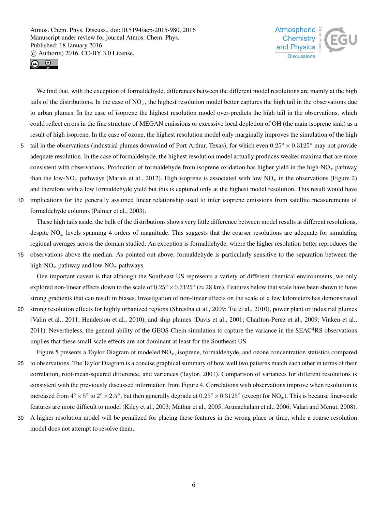



We find that, with the exception of formaldehyde, differences between the different model resolutions are mainly at the high tails of the distributions. In the case of  $NO<sub>x</sub>$ , the highest resolution model better captures the high tail in the observations due to urban plumes. In the case of isoprene the highest resolution model over-predicts the high tail in the observations, which could reflect errors in the fine structure of MEGAN emissions or excessive local depletion of OH (the main isoprene sink) as a result of high isoprene. In the case of ozone, the highest resolution model only marginally improves the simulation of the high

- 5 tail in the observations (industrial plumes downwind of Port Arthur, Texas), for which even  $0.25^\circ \times 0.3125^\circ$  may not provide adequate resolution. In the case of formaldehyde, the highest resolution model actually produces weaker maxima that are more consistent with observations. Production of formaldehyde from isoprene oxidation has higher yield in the high-NO<sub>x</sub> pathway than the low-NO<sub>x</sub> pathways (Marais et al., 2012). High isoprene is associated with low NO<sub>x</sub> in the observations (Figure 2) and therefore with a low formaldehyde yield but this is captured only at the highest model resolution. This result would have
- 10 implications for the generally assumed linear relationship used to infer isoprene emissions from satellite measurements of formaldehyde columns (Palmer et al., 2003).

These high tails aside, the bulk of the distributions shows very little difference between model results at different resolutions, despite  $NO<sub>x</sub>$  levels spanning 4 orders of magnitude. This suggests that the coarser resolutions are adequate for simulating regional averages across the domain studied. An exception is formaldehyde, where the higher resolution better reproduces the

15 observations above the median. As pointed out above, formaldehyde is particularly sensitive to the separation between the high-NO<sub>x</sub> pathway and low-NO<sub>x</sub> pathways.

One important caveat is that although the Southeast US represents a variety of different chemical environments, we only explored non-linear effects down to the scale of  $0.25^\circ \times 0.3125^\circ \approx 28$  km). Features below that scale have been shown to have strong gradients that can result in biases. Investigation of non-linear effects on the scale of a few kilometers has demonstrated

- 20 strong resolution effects for highly urbanized regions (Shrestha et al., 2009; Tie et al., 2010), power plant or industrial plumes (Valin et al., 2011; Henderson et al., 2010), and ship plumes (Davis et al., 2001; Charlton-Perez et al., 2009; Vinken et al.,  $2011$ ). Nevertheless, the general ability of the GEOS-Chem simulation to capture the variance in the SEAC $4RS$  observations implies that these small-scale effects are not dominant at least for the Southeast US.
- Figure 5 presents a Taylor Diagram of modeled  $NO<sub>x</sub>$ , isoprene, formaldehyde, and ozone concentration statistics compared 25 to observations. The Taylor Diagram is a concise graphical summary of how well two patterns match each other in terms of their correlation, root-mean-squared difference, and variances (Taylor, 2001). Comparison of variances for different resolutions is consistent with the previously discussed information from Figure 4. Correlations with observations improve when resolution is increased from  $4^\circ \times 5^\circ$  to  $2^\circ \times 2.5^\circ$ , but then generally degrade at  $0.25^\circ \times 0.3125^\circ$  (except for NO<sub>x</sub>). This is because finer-scale features are more difficult to model (Kiley et al., 2003; Mathur et al., 2005; Arunachalam et al., 2006; Valari and Menut, 2008).
- 30 A higher resolution model will be penalized for placing these features in the wrong place or time, while a coarse resolution model does not attempt to resolve them.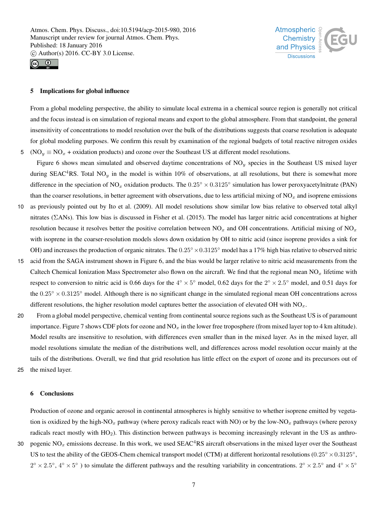



## 5 Implications for global influence

From a global modeling perspective, the ability to simulate local extrema in a chemical source region is generally not critical and the focus instead is on simulation of regional means and export to the global atmosphere. From that standpoint, the general insensitivity of concentrations to model resolution over the bulk of the distributions suggests that coarse resolution is adequate for global modeling purposes. We confirm this result by examination of the regional budgets of total reactive nitrogen oxides 5 (NO<sub>y</sub>  $\equiv$  NO<sub>x</sub> + oxidation products) and ozone over the Southeast US at different model resolutions.

Figure 6 shows mean simulated and observed daytime concentrations of  $NO_y$  species in the Southeast US mixed layer during SEAC<sup>4</sup>RS. Total NO<sub>y</sub> in the model is within 10% of observations, at all resolutions, but there is somewhat more difference in the speciation of NO<sub>x</sub> oxidation products. The  $0.25^\circ \times 0.3125^\circ$  simulation has lower peroxyacetylnitrate (PAN) than the coarser resolutions, in better agreement with observations, due to less artificial mixing of  $NO<sub>x</sub>$  and isoprene emissions

- 10 as previously pointed out by Ito et al. (2009). All model resolutions show similar low bias relative to observed total alkyl nitrates (ΣANs). This low bias is discussed in Fisher et al. (2015). The model has larger nitric acid concentrations at higher resolution because it resolves better the positive correlation between NO<sub>x</sub> and OH concentrations. Artificial mixing of NO<sub>x</sub> with isoprene in the coarser-resolution models slows down oxidation by OH to nitric acid (since isoprene provides a sink for OH) and increases the production of organic nitrates. The  $0.25° \times 0.3125°$  model has a 17% high bias relative to observed nitric
- 15 acid from the SAGA instrument shown in Figure 6, and the bias would be larger relative to nitric acid measurements from the Caltech Chemical Ionization Mass Spectrometer also flown on the aircraft. We find that the regional mean  $NO<sub>x</sub>$  lifetime with respect to conversion to nitric acid is 0.66 days for the  $4^{\circ} \times 5^{\circ}$  model, 0.62 days for the  $2^{\circ} \times 2.5^{\circ}$  model, and 0.51 days for the 0.25◦ × 0.3125◦ model. Although there is no significant change in the simulated regional mean OH concentrations across different resolutions, the higher resolution model captures better the association of elevated OH with  $NO<sub>x</sub>$ .
- 20 From a global model perspective, chemical venting from continental source regions such as the Southeast US is of paramount importance. Figure 7 shows CDF plots for ozone and  $NO_x$  in the lower free troposphere (from mixed layer top to 4 km altitude). Model results are insensitive to resolution, with differences even smaller than in the mixed layer. As in the mixed layer, all model resolutions simulate the median of the distributions well, and differences across model resolution occur mainly at the tails of the distributions. Overall, we find that grid resolution has little effect on the export of ozone and its precursors out of 25 the mixed layer.
	-

6 Conclusions

tion is oxidized by the high-NO<sub>x</sub> pathway (where peroxy radicals react with NO) or by the low-NO<sub>x</sub> pathways (where peroxy radicals react mostly with HO2). This distinction between pathways is becoming increasingly relevant in the US as anthro-30 pogenic NO<sub>x</sub> emissions decrease. In this work, we used SEAC<sup>4</sup>RS aircraft observations in the mixed layer over the Southeast US to test the ability of the GEOS-Chem chemical transport model (CTM) at different horizontal resolutions ( $0.25° \times 0.3125°$ ,  $2^{\circ} \times 2.5^{\circ}$ ,  $4^{\circ} \times 5^{\circ}$ ) to simulate the different pathways and the resulting variability in concentrations.  $2^{\circ} \times 2.5^{\circ}$  and  $4^{\circ} \times 5^{\circ}$ 

Production of ozone and organic aerosol in continental atmospheres is highly sensitive to whether isoprene emitted by vegeta-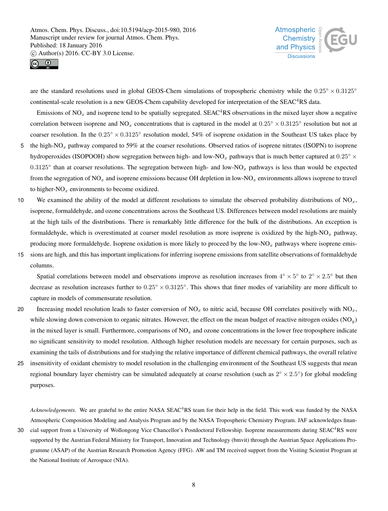



are the standard resolutions used in global GEOS-Chem simulations of tropospheric chemistry while the  $0.25° \times 0.3125°$ continental-scale resolution is a new GEOS-Chem capability developed for interpretation of the SEAC<sup>4</sup>RS data.

Emissions of  $NO<sub>x</sub>$  and isoprene tend to be spatially segregated. SEAC<sup>4</sup>RS observations in the mixed layer show a negative correlation between isoprene and NO<sub>x</sub> concentrations that is captured in the model at  $0.25^\circ \times 0.3125^\circ$  resolution but not at coarser resolution. In the  $0.25^\circ \times 0.3125^\circ$  resolution model, 54% of isoprene oxidation in the Southeast US takes place by 5 the high-NO<sub>x</sub> pathway compared to 59% at the coarser resolutions. Observed ratios of isoprene nitrates (ISOPN) to isoprene

- hydroperoxides (ISOPOOH) show segregation between high- and low-NO<sub>x</sub> pathways that is much better captured at  $0.25° \times$  $0.3125^{\circ}$  than at coarser resolutions. The segregation between high- and low-NO<sub>x</sub> pathways is less than would be expected from the segregation of  $NO<sub>x</sub>$  and isoprene emissions because OH depletion in low- $NO<sub>x</sub>$  environments allows isoprene to travel to higher- $NO<sub>x</sub>$  environments to become oxidized.
- 10 We examined the ability of the model at different resolutions to simulate the observed probability distributions of  $NO<sub>x</sub>$ , isoprene, formaldehyde, and ozone concentrations across the Southeast US. Differences between model resolutions are mainly at the high tails of the distributions. There is remarkably little difference for the bulk of the distributions. An exception is formaldehyde, which is overestimated at coarser model resolution as more isoprene is oxidized by the high- $NO<sub>x</sub>$  pathway, producing more formaldehyde. Isoprene oxidation is more likely to proceed by the low-NO<sub>x</sub> pathways where isoprene emis-
- 15 sions are high, and this has important implications for inferring isoprene emissions from satellite observations of formaldehyde columns.

Spatial correlations between model and observations improve as resolution increases from  $4^{\circ} \times 5^{\circ}$  to  $2^{\circ} \times 2.5^{\circ}$  but then decrease as resolution increases further to  $0.25^\circ \times 0.3125^\circ$ . This shows that finer modes of variability are more difficult to capture in models of commensurate resolution.

- 20 Increasing model resolution leads to faster conversion of  $NO<sub>x</sub>$  to nitric acid, because OH correlates positively with  $NO<sub>x</sub>$ , while slowing down conversion to organic nitrates. However, the effect on the mean budget of reactive nitrogen oxides  $(NO<sub>y</sub>)$ in the mixed layer is small. Furthermore, comparisons of  $NO<sub>x</sub>$  and ozone concentrations in the lower free troposphere indicate no significant sensitivity to model resolution. Although higher resolution models are necessary for certain purposes, such as examining the tails of distributions and for studying the relative importance of different chemical pathways, the overall relative
- 25 insensitivity of oxidant chemistry to model resolution in the challenging environment of the Southeast US suggests that mean regional boundary layer chemistry can be simulated adequately at coarse resolution (such as  $2^{\circ} \times 2.5^{\circ}$ ) for global modeling purposes.

*Acknowledgements.* We are grateful to the entire NASA SEAC<sup>4</sup>RS team for their help in the field. This work was funded by the NASA Atmospheric Composition Modeling and Analysis Program and by the NASA Tropospheric Chemistry Program. JAF acknowledges finan-

30 cial support from a University of Wollongong Vice Chancellor's Postdoctoral Fellowship. Isoprene measurements during SEAC<sup>4</sup>RS were supported by the Austrian Federal Ministry for Transport, Innovation and Technology (bmvit) through the Austrian Space Applications Programme (ASAP) of the Austrian Research Promotion Agency (FFG). AW and TM received support from the Visiting Scientist Program at the National Institute of Aerospace (NIA).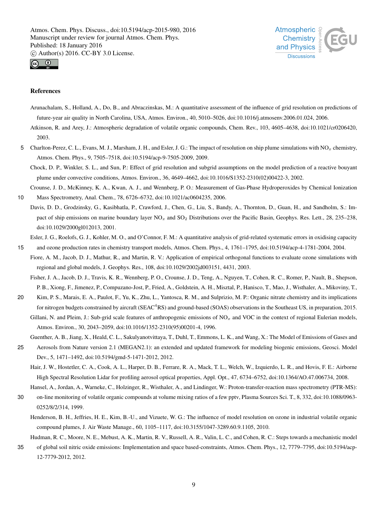



#### References

- Arunachalam, S., Holland, A., Do, B., and Abraczinskas, M.: A quantitative assessment of the influence of grid resolution on predictions of future-year air quality in North Carolina, USA, Atmos. Environ., 40, 5010–5026, doi:10.1016/j.atmosenv.2006.01.024, 2006.
- Atkinson, R. and Arey, J.: Atmospheric degradation of volatile organic compounds, Chem. Rev., 103, 4605–4638, doi:10.1021/cr0206420, 2003.
- 5 Charlton-Perez, C. L., Evans, M. J., Marsham, J. H., and Esler, J. G.: The impact of resolution on ship plume simulations with NO<sub>x</sub> chemistry, Atmos. Chem. Phys., 9, 7505–7518, doi:10.5194/acp-9-7505-2009, 2009.
	- Chock, D. P., Winkler, S. L., and Sun, P.: Effect of grid resolution and subgrid assumptions on the model prediction of a reactive bouyant plume under convective conditions, Atmos. Environ., 36, 4649–4662, doi:10.1016/S1352-2310(02)00422-3, 2002.

Crounse, J. D., McKinney, K. A., Kwan, A. J., and Wennberg, P. O.: Measurement of Gas-Phase Hydroperoxides by Chemical Ionization

- 10 Mass Spectrometry, Anal. Chem., 78, 6726–6732, doi:10.1021/ac0604235, 2006.
- Davis, D. D., Grodzinsky, G., Kasibhatla, P., Crawford, J., Chen, G., Liu, S., Bandy, A., Thornton, D., Guan, H., and Sandholm, S.: Impact of ship emissions on marine boundary layer  $NO_x$  and  $SO_2$  Distributions over the Pacific Basin, Geophys. Res. Lett., 28, 235–238, doi:10.1029/2000gl012013, 2001.
	- Esler, J. G., Roelofs, G. J., Kohler, M. O., and O'Connor, F. M.: A quantitative analysis of grid-related systematic errors in oxidising capacity
- 15 and ozone production rates in chemistry transport models, Atmos. Chem. Phys., 4, 1761–1795, doi:10.5194/acp-4-1781-2004, 2004.
- Fiore, A. M., Jacob, D. J., Mathur, R., and Martin, R. V.: Application of empirical orthogonal functions to evaluate ozone simulations with regional and global models, J. Geophys. Res., 108, doi:10.1029/2002jd003151, 4431, 2003.

Fisher, J. A., Jacob, D. J., Travis, K. R., Wennberg, P. O., Crounse, J. D., Teng, A., Nguyen, T., Cohen, R. C., Romer, P., Nault, B., Shepson, P. B., Xiong, F., Jimenez, P., Compuzano-Jost, P., Fried, A., Goldstein, A. H., Misztal, P., Hanisco, T., Mao, J., Wisthaler, A., Mikoviny, T.,

20 Kim, P. S., Marais, E. A., Paulot, F., Yu, K., Zhu, L., Yantosca, R. M., and Sulprizio, M. P.: Organic nitrate chemistry and its implications for nitrogen budgets constrained by aircraft (SEAC<sup>4</sup>RS) and ground-based (SOAS) observations in the Southeast US, in preparation, 2015. Gillani, N. and Pleim, J.: Sub-grid scale features of anthropogenic emissions of  $NO<sub>x</sub>$  and VOC in the context of regional Eulerian models,

Atmos. Environ., 30, 2043–2059, doi:10.1016/1352-2310(95)00201-4, 1996.

Guenther, A. B., Jiang, X., Heald, C. L., Sakulyanotvittaya, T., Duhl, T., Emmons, L. K., and Wang, X.: The Model of Emissions of Gases and

- 25 Aerosols from Nature version 2.1 (MEGAN2.1): an extended and updated framework for modeling biogenic emissions, Geosci. Model Dev., 5, 1471–1492, doi:10.5194/gmd-5-1471-2012, 2012.
	- Hair, J. W., Hostetler, C. A., Cook, A. L., Harper, D. B., Ferrare, R. A., Mack, T. L., Welch, W., Izquierdo, L. R., and Hovis, F. E.: Airborne High Spectral Resolution Lidar for profiling aerosol optical properties, Appl. Opt., 47, 6734–6752, doi:10.1364/AO.47.006734, 2008.
- Hansel, A., Jordan, A., Warneke, C., Holzinger, R., Wisthaler, A., and Lindinger, W.: Proton-transfer-reaction mass spectrometry (PTR-MS): 30 on-line monitoring of volatile organic compounds at volume mixing ratios of a few pptv, Plasma Sources Sci. T., 8, 332, doi:10.1088/0963- 0252/8/2/314, 1999.
	- Henderson, B. H., Jeffries, H. E., Kim, B.-U., and Vizuete, W. G.: The influence of model resolution on ozone in industrial volatile organic compound plumes, J. Air Waste Manage., 60, 1105–1117, doi:10.3155/1047-3289.60.9.1105, 2010.
- Hudman, R. C., Moore, N. E., Mebust, A. K., Martin, R. V., Russell, A. R., Valin, L. C., and Cohen, R. C.: Steps towards a mechanistic model
- 35 of global soil nitric oxide emissions: Implementation and space based-constraints, Atmos. Chem. Phys., 12, 7779–7795, doi:10.5194/acp-12-7779-2012, 2012.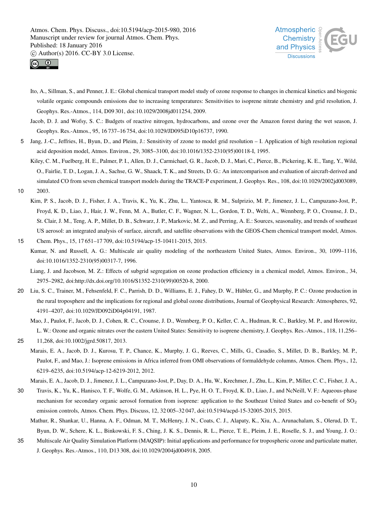



- Ito, A., Sillman, S., and Penner, J. E.: Global chemical transport model study of ozone response to changes in chemical kinetics and biogenic volatile organic compounds emissions due to increasing temperatures: Sensitivities to isoprene nitrate chemistry and grid resolution, J. Geophys. Res.-Atmos., 114, D09 301, doi:10.1029/2008jd011254, 2009.
- Jacob, D. J. and Wofsy, S. C.: Budgets of reactive nitrogen, hydrocarbons, and ozone over the Amazon forest during the wet season, J. Geophys. Res.-Atmos., 95, 16 737–16 754, doi:10.1029/JD095iD10p16737, 1990.
- 5 Jang, J.-C., Jeffries, H., Byun, D., and Pleim, J.: Sensitivity of zzone to model grid resolution I. Application of high resolution regional acid deposition model, Atmos. Environ., 29, 3085–3100, doi:10.1016/1352-2310(95)00118-I, 1995.
- Kiley, C. M., Fuelberg, H. E., Palmer, P. I., Allen, D. J., Carmichael, G. R., Jacob, D. J., Mari, C., Pierce, B., Pickering, K. E., Tang, Y., Wild, O., Fairlie, T. D., Logan, J. A., Sachse, G. W., Shaack, T. K., and Streets, D. G.: An intercomparison and evaluation of aircraft-derived and simulated CO from seven chemical transport models during the TRACE-P experiment, J. Geophys. Res., 108, doi:10.1029/2002jd003089, 10 2003.
- Kim, P. S., Jacob, D. J., Fisher, J. A., Travis, K., Yu, K., Zhu, L., Yantosca, R. M., Sulprizio, M. P., Jimenez, J. L., Campuzano-Jost, P., Froyd, K. D., Liao, J., Hair, J. W., Fenn, M. A., Butler, C. F., Wagner, N. L., Gordon, T. D., Welti, A., Wennberg, P. O., Crounse, J. D., St. Clair, J. M., Teng, A. P., Millet, D. B., Schwarz, J. P., Markovic, M. Z., and Perring, A. E.: Sources, seasonality, and trends of southeast US aerosol: an integrated analysis of surface, aircraft, and satellite observations with the GEOS-Chem chemical transport model, Atmos. 15 Chem. Phys., 15, 17 651–17 709, doi:10.5194/acp-15-10411-2015, 2015.
- Kumar, N. and Russell, A. G.: Multiscale air quality modeling of the northeastern United States, Atmos. Environ., 30, 1099–1116, doi:10.1016/1352-2310(95)00317-7, 1996.
	- Liang, J. and Jacobson, M. Z.: Effects of subgrid segregation on ozone production efficiency in a chemical model, Atmos. Environ., 34, 2975–2982, doi:http://dx.doi.org/10.1016/S1352-2310(99)00520-8, 2000.
- 20 Liu, S. C., Trainer, M., Fehsenfeld, F. C., Parrish, D. D., Williams, E. J., Fahey, D. W., Hübler, G., and Murphy, P. C.: Ozone production in the rural troposphere and the implications for regional and global ozone distributions, Journal of Geophysical Research: Atmospheres, 92, 4191–4207, doi:10.1029/JD092iD04p04191, 1987.

Mao, J., Paulot, F., Jacob, D. J., Cohen, R. C., Crounse, J. D., Wennberg, P. O., Keller, C. A., Hudman, R. C., Barkley, M. P., and Horowitz, L. W.: Ozone and organic nitrates over the eastern United States: Sensitivity to isoprene chemistry, J. Geophys. Res.-Atmos., 118, 11,256–

- 25 11,268, doi:10.1002/jgrd.50817, 2013.
	- Marais, E. A., Jacob, D. J., Kurosu, T. P., Chance, K., Murphy, J. G., Reeves, C., Mills, G., Casadio, S., Millet, D. B., Barkley, M. P., Paulot, F., and Mao, J.: Isoprene emissions in Africa inferred from OMI observations of formaldehyde columns, Atmos. Chem. Phys., 12, 6219–6235, doi:10.5194/acp-12-6219-2012, 2012.

Marais, E. A., Jacob, D. J., Jimenez, J. L., Campuzano-Jost, P., Day, D. A., Hu, W., Krechmer, J., Zhu, L., Kim, P., Miller, C. C., Fisher, J. A.,

- 30 Travis, K., Yu, K., Hanisco, T. F., Wolfe, G. M., Arkinson, H. L., Pye, H. O. T., Froyd, K. D., Liao, J., and NcNeill, V. F.: Aqueous-phase mechanism for secondary organic aerosol formation from isoprene: application to the Southeast United States and co-benefit of SO<sub>2</sub> emission controls, Atmos. Chem. Phys. Discuss, 12, 32 005–32 047, doi:10.5194/acpd-15-32005-2015, 2015.
	- Mathur, R., Shankar, U., Hanna, A. F., Odman, M. T., McHenry, J. N., Coats, C. J., Alapaty, K., Xiu, A., Arunachalam, S., Olerud, D. T., Byun, D. W., Schere, K. L., Binkowski, F. S., Ching, J. K. S., Dennis, R. L., Pierce, T. E., Pleim, J. E., Roselle, S. J., and Young, J. O.:
- 35 Multiscale Air Quality Simulation Platform (MAQSIP): Initial applications and performance for tropospheric ozone and particulate matter, J. Geophys. Res.-Atmos., 110, D13 308, doi:10.1029/2004jd004918, 2005.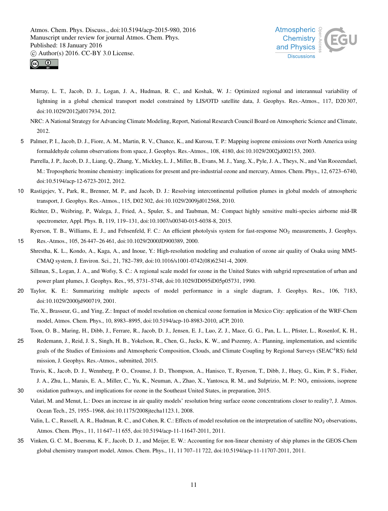



- Murray, L. T., Jacob, D. J., Logan, J. A., Hudman, R. C., and Koshak, W. J.: Optimized regional and interannual variability of lightning in a global chemical transport model constrained by LIS/OTD satellite data, J. Geophys. Res.-Atmos., 117, D20307, doi:10.1029/2012jd017934, 2012.
- NRC: A National Strategy for Advancing Climate Modeling, Report, National Research Council Board on Atmospheric Science and Climate, 2012.
- 5 Palmer, P. I., Jacob, D. J., Fiore, A. M., Martin, R. V., Chance, K., and Kurosu, T. P.: Mapping isoprene emissions over North America using formaldehyde column observations from space, J. Geophys. Res.-Atmos., 108, 4180, doi:10.1029/2002jd002153, 2003.
	- Parrella, J. P., Jacob, D. J., Liang, Q., Zhang, Y., Mickley, L. J., Miller, B., Evans, M. J., Yang, X., Pyle, J. A., Theys, N., and Van Roozendael, M.: Tropospheric bromine chemistry: implications for present and pre-industrial ozone and mercury, Atmos. Chem. Phys., 12, 6723–6740, doi:10.5194/acp-12-6723-2012, 2012.
- 10 Rastigejev, Y., Park, R., Brenner, M. P., and Jacob, D. J.: Resolving intercontinental pollution plumes in global models of atmospheric transport, J. Geophys. Res.-Atmos., 115, D02 302, doi:10.1029/2009jd012568, 2010.
	- Richter, D., Weibring, P., Walega, J., Fried, A., Spuler, S., and Taubman, M.: Compact highly sensitive multi-species airborne mid-IR spectrometer, Appl. Phys. B, 119, 119–131, doi:10.1007/s00340-015-6038-8, 2015.

Ryerson, T. B., Williams, E. J., and Fehsenfeld, F. C.: An efficient photolysis system for fast-response NO<sup>2</sup> measurements, J. Geophys.

- 15 Res.-Atmos., 105, 26 447–26 461, doi:10.1029/2000JD900389, 2000.
- Shrestha, K. L., Kondo, A., Kaga, A., and Inoue, Y.: High-resolution modeling and evaluation of ozone air quality of Osaka using MM5- CMAQ system, J. Environ. Sci., 21, 782–789, doi:10.1016/s1001-0742(08)62341-4, 2009.
	- Sillman, S., Logan, J. A., and Wofsy, S. C.: A regional scale model for ozone in the United States with subgrid representation of urban and power plant plumes, J. Geophys. Res., 95, 5731–5748, doi:10.1029/JD095iD05p05731, 1990.
- 20 Taylor, K. E.: Summarizing multiple aspects of model performance in a single diagram, J. Geophys. Res., 106, 7183, doi:10.1029/2000jd900719, 2001.
	- Tie, X., Brasseur, G., and Ying, Z.: Impact of model resolution on chemical ozone formation in Mexico City: application of the WRF-Chem model, Atmos. Chem. Phys., 10, 8983–8995, doi:10.5194/acp-10-8983-2010, aCP, 2010.
- Toon, O. B., Maring, H., Dibb, J., Ferrare, R., Jacob, D. J., Jensen, E. J., Luo, Z. J., Mace, G. G., Pan, L. L., Pfister, L., Rosenlof, K. H., 25 Redemann, J., Reid, J. S., Singh, H. B., Yokelson, R., Chen, G., Jucks, K. W., and Pszenny, A.: Planning, implementation, and scientific goals of the Studies of Emissions and Atmospheric Composition, Clouds, and Climate Coupling by Regional Surveys (SEAC<sup>4</sup>RS) field mission, J. Geophys. Res.-Atmos., submitted, 2015.
- Travis, K., Jacob, D. J., Wennberg, P. O., Crounse, J. D., Thompson, A., Hanisco, T., Ryerson, T., Dibb, J., Huey, G., Kim, P. S., Fisher, J. A., Zhu, L., Marais, E. A., Miller, C., Yu, K., Neuman, A., Zhao, X., Yantosca, R. M., and Sulprizio, M. P.: NO<sub>x</sub> emissions, isoprene 30 oxidation pathways, and implications for ozone in the Southeast United States, in preparation, 2015.
- Valari, M. and Menut, L.: Does an increase in air quality models' resolution bring surface ozone concentrations closer to reality?, J. Atmos. Ocean Tech., 25, 1955–1968, doi:10.1175/2008jtecha1123.1, 2008.
	- Valin, L. C., Russell, A. R., Hudman, R. C., and Cohen, R. C.: Effects of model resolution on the interpretation of satellite NO<sub>2</sub> observations, Atmos. Chem. Phys., 11, 11 647–11 655, doi:10.5194/acp-11-11647-2011, 2011.
- 35 Vinken, G. C. M., Boersma, K. F., Jacob, D. J., and Meijer, E. W.: Accounting for non-linear chemistry of ship plumes in the GEOS-Chem global chemistry transport model, Atmos. Chem. Phys., 11, 11 707–11 722, doi:10.5194/acp-11-11707-2011, 2011.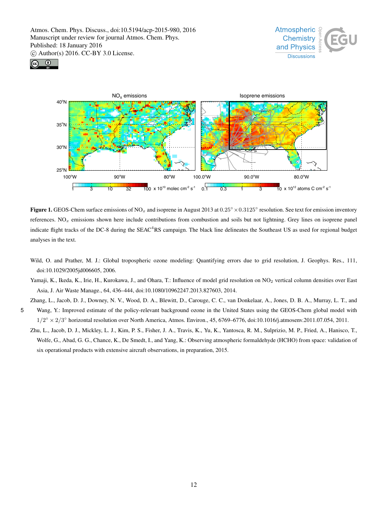





**Figure 1.** GEOS-Chem surface emissions of NO<sub>x</sub> and isoprene in August 2013 at  $0.25° \times 0.3125°$  resolution. See text for emission inventory references.  $NO<sub>x</sub>$  emissions shown here include contributions from combustion and soils but not lightning. Grey lines on isoprene panel indicate flight tracks of the DC-8 during the SEAC<sup>4</sup>RS campaign. The black line delineates the Southeast US as used for regional budget analyses in the text.

- Wild, O. and Prather, M. J.: Global tropospheric ozone modeling: Quantifying errors due to grid resolution, J. Geophys. Res., 111, doi:10.1029/2005jd006605, 2006.
- Yamaji, K., Ikeda, K., Irie, H., Kurokawa, J., and Ohara, T.: Influence of model grid resolution on NO<sub>2</sub> vertical column densities over East Asia, J. Air Waste Manage., 64, 436–444, doi:10.1080/10962247.2013.827603, 2014.

Zhang, L., Jacob, D. J., Downey, N. V., Wood, D. A., Blewitt, D., Carouge, C. C., van Donkelaar, A., Jones, D. B. A., Murray, L. T., and 5 Wang, Y.: Improved estimate of the policy-relevant background ozone in the United States using the GEOS-Chem global model with

- $1/2^{\circ} \times 2/3^{\circ}$  horizontal resolution over North America, Atmos. Environ., 45, 6769–6776, doi:10.1016/j.atmosenv.2011.07.054, 2011.
- Zhu, L., Jacob, D. J., Mickley, L. J., Kim, P. S., Fisher, J. A., Travis, K., Yu, K., Yantosca, R. M., Sulprizio, M. P., Fried, A., Hanisco, T., Wolfe, G., Abad, G. G., Chance, K., De Smedt, I., and Yang, K.: Observing atmospheric formaldehyde (HCHO) from space: validation of six operational products with extensive aircraft observations, in preparation, 2015.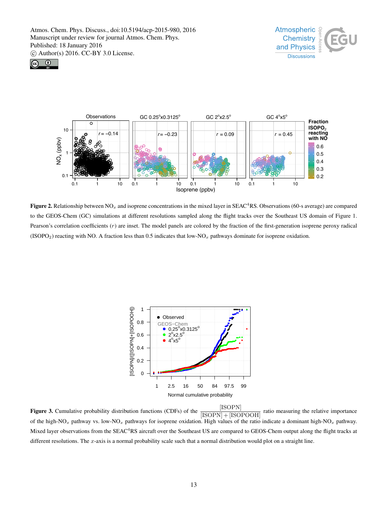





Figure 2. Relationship between  $NO_x$  and isoprene concentrations in the mixed layer in SEAC<sup>4</sup>RS. Observations (60-s average) are compared to the GEOS-Chem (GC) simulations at different resolutions sampled along the flight tracks over the Southeast US domain of Figure 1. Pearson's correlation coefficients  $(r)$  are inset. The model panels are colored by the fraction of the first-generation isoprene peroxy radical  $(ISOPO<sub>2</sub>)$  reacting with NO. A fraction less than 0.5 indicates that low-NO<sub>x</sub> pathways dominate for isoprene oxidation.



[ISOPN] ratio measuring the relative importance of the high-NO<sub>x</sub> pathway vs. low-NO<sub>x</sub> pathways for isoprene oxidation. High values of the ratio indicate a dominant high-NO<sub>x</sub> pathway. Mixed layer observations from the SEAC<sup>4</sup>RS aircraft over the Southeast US are compared to GEOS-Chem output along the flight tracks at different resolutions. The  $x$ -axis is a normal probability scale such that a normal distribution would plot on a straight line.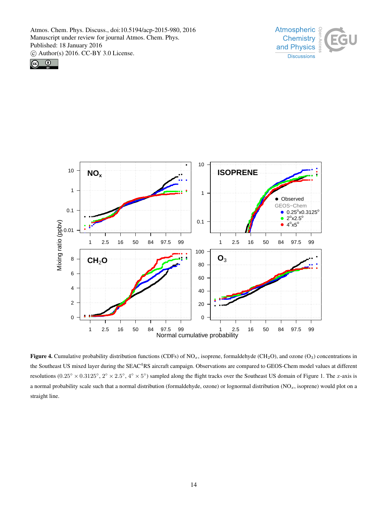





Figure 4. Cumulative probability distribution functions (CDFs) of NO<sub>x</sub>, isoprene, formaldehyde (CH<sub>2</sub>O), and ozone (O<sub>3</sub>) concentrations in the Southeast US mixed layer during the SEAC<sup>4</sup>RS aircraft campaign. Observations are compared to GEOS-Chem model values at different resolutions (0.25° × 0.3125°, 2° × 2.5°, 4° × 5°) sampled along the flight tracks over the Southeast US domain of Figure 1. The x-axis is a normal probability scale such that a normal distribution (formaldehyde, ozone) or lognormal distribution  $(NO_x, isoprene)$  would plot on a straight line.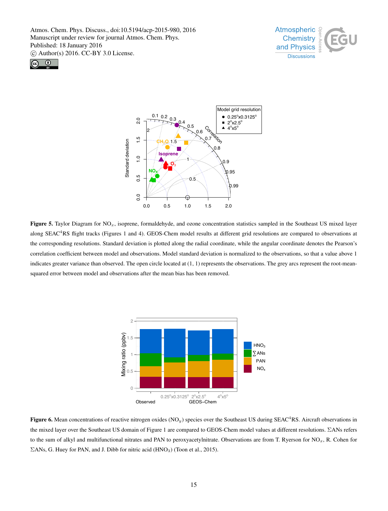





Figure 5. Taylor Diagram for  $NO_x$ , isoprene, formaldehyde, and ozone concentration statistics sampled in the Southeast US mixed layer along SEAC<sup>4</sup>RS flight tracks (Figures 1 and 4). GEOS-Chem model results at different grid resolutions are compared to observations at the corresponding resolutions. Standard deviation is plotted along the radial coordinate, while the angular coordinate denotes the Pearson's correlation coefficient between model and observations. Model standard deviation is normalized to the observations, so that a value above 1 indicates greater variance than observed. The open circle located at (1, 1) represents the observations. The grey arcs represent the root-meansquared error between model and observations after the mean bias has been removed.



 $\Sigma$ ANs, G. Huey for PAN, and J. Dibb for nitric acid (HNO<sub>3</sub>) (Toon et al., 2015). 75 **component** Figure 6. Mean concentrations of reactive nitrogen oxides (NO<sub>y</sub>) species over the Southeast US during SEAC<sup>4</sup>RS. Aircraft observations in to the sum of alkyl and multifunctional nitrates and PAN to peroxyacetylnitrate. Observations are from T. Ryerson for  $NO_x$ , R. Cohen for the mixed layer over the Southeast US domain of Figure 1 are compared to GEOS-Chem model values at different resolutions. ΣANs refers